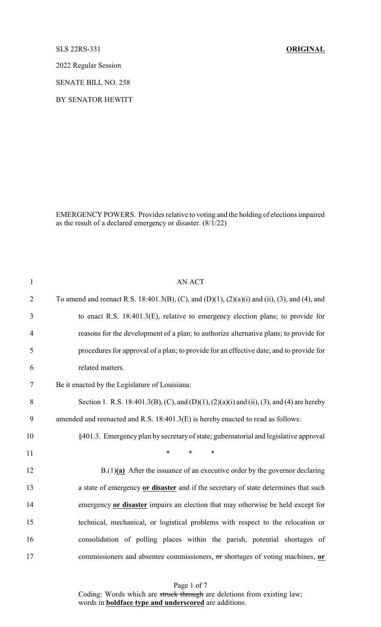## SLS 22RS-331 **ORIGINAL**

2022 Regular Session

SENATE BILL NO. 258

BY SENATOR HEWITT

EMERGENCY POWERS. Provides relative to voting and the holding of elections impaired as the result of a declared emergency or disaster. (8/1/22)

| $\mathbf{1}$   | <b>AN ACT</b>                                                                                 |
|----------------|-----------------------------------------------------------------------------------------------|
| $\overline{2}$ | To amend and reenact R.S. 18:401.3(B), (C), and (D)(1), (2)(a)(i) and (ii), (3), and (4), and |
| 3              | to enact R.S. $18:401.3(E)$ , relative to emergency election plans; to provide for            |
| $\overline{4}$ | reasons for the development of a plan; to authorize alternative plans; to provide for         |
| 5              | procedures for approval of a plan; to provide for an effective date; and to provide for       |
| 6              | related matters.                                                                              |
| 7              | Be it enacted by the Legislature of Louisiana:                                                |
| 8              | Section 1. R.S. 18:401.3(B), (C), and (D)(1), (2)(a)(i) and (ii), (3), and (4) are hereby     |
| 9              | amended and reenacted and R.S. 18:401.3(E) is hereby enacted to read as follows:              |
| 10             | §401.3. Emergency plan by secretary of state; gubernatorial and legislative approval          |
| 11             | $\ast$<br>$\ast$<br>$\ast$                                                                    |
| 12             | $B(1)(a)$ After the issuance of an executive order by the governor declaring                  |
| 13             | a state of emergency or disaster and if the secretary of state determines that such           |
| 14             | emergency or disaster impairs an election that may otherwise be held except for               |
| 15             | technical, mechanical, or logistical problems with respect to the relocation or               |
| 16             | consolidation of polling places within the parish, potential shortages of                     |
| 17             | commissioners and absentee commissioners, or shortages of voting machines, or                 |

Page 1 of 7 Coding: Words which are struck through are deletions from existing law; words in **boldface type and underscored** are additions.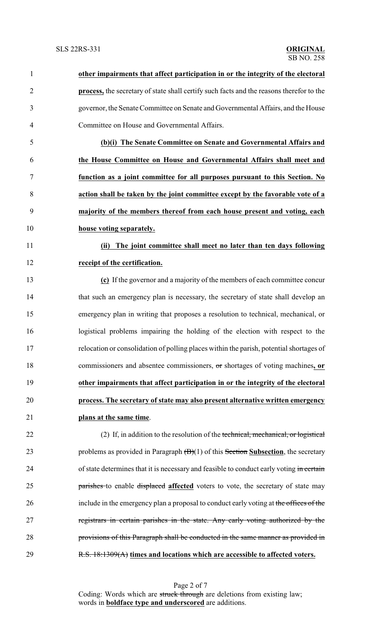| $\mathbf{1}$   | other impairments that affect participation in or the integrity of the electoral         |
|----------------|------------------------------------------------------------------------------------------|
| $\overline{2}$ | process, the secretary of state shall certify such facts and the reasons therefor to the |
| 3              | governor, the Senate Committee on Senate and Governmental Affairs, and the House         |
| 4              | Committee on House and Governmental Affairs.                                             |
| 5              | (b)(i) The Senate Committee on Senate and Governmental Affairs and                       |
| 6              | the House Committee on House and Governmental Affairs shall meet and                     |
| 7              | function as a joint committee for all purposes pursuant to this Section. No              |
| 8              | action shall be taken by the joint committee except by the favorable vote of a           |
| 9              | majority of the members thereof from each house present and voting, each                 |
| 10             | house voting separately.                                                                 |
| 11             | The joint committee shall meet no later than ten days following<br>(ii)                  |
| 12             | receipt of the certification.                                                            |
| 13             | (c) If the governor and a majority of the members of each committee concur               |
| 14             | that such an emergency plan is necessary, the secretary of state shall develop an        |
| 15             | emergency plan in writing that proposes a resolution to technical, mechanical, or        |
| 16             | logistical problems impairing the holding of the election with respect to the            |
| 17             | relocation or consolidation of polling places within the parish, potential shortages of  |
| 18             | commissioners and absentee commissioners, or shortages of voting machines, or            |
| 19             | other impairments that affect participation in or the integrity of the electoral         |
| 20             | process. The secretary of state may also present alternative written emergency           |
| 21             | plans at the same time.                                                                  |
| 22             | (2) If, in addition to the resolution of the technical, mechanical, or logistical        |
| 23             | problems as provided in Paragraph $(B)(1)$ of this Section Subsection, the secretary     |
| 24             | of state determines that it is necessary and feasible to conduct early voting in certain |
| 25             | parishes to enable displaced affected voters to vote, the secretary of state may         |
| 26             | include in the emergency plan a proposal to conduct early voting at the offices of the   |
| 27             | registrars in certain parishes in the state. Any early voting authorized by the          |
| 28             | provisions of this Paragraph shall be conducted in the same manner as provided in        |
| 29             | R.S. 18:1309(A) times and locations which are accessible to affected voters.             |

Page 2 of 7 Coding: Words which are struck through are deletions from existing law; words in **boldface type and underscored** are additions.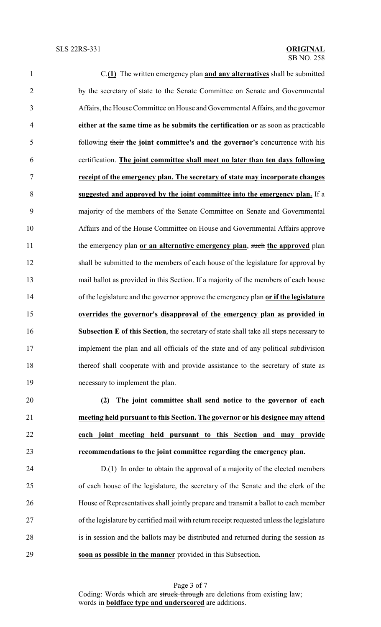| $\mathbf{1}$   | $C(1)$ The written emergency plan and any alternatives shall be submitted              |
|----------------|----------------------------------------------------------------------------------------|
| $\overline{2}$ | by the secretary of state to the Senate Committee on Senate and Governmental           |
| 3              | Affairs, the House Committee on House and Governmental Affairs, and the governor       |
| $\overline{4}$ | either at the same time as he submits the certification or as soon as practicable      |
| 5              | following their the joint committee's and the governor's concurrence with his          |
| 6              | certification. The joint committee shall meet no later than ten days following         |
| 7              | receipt of the emergency plan. The secretary of state may incorporate changes          |
| 8              | suggested and approved by the joint committee into the emergency plan. If a            |
| 9              | majority of the members of the Senate Committee on Senate and Governmental             |
| 10             | Affairs and of the House Committee on House and Governmental Affairs approve           |
| 11             | the emergency plan or an alternative emergency plan, such the approved plan            |
| 12             | shall be submitted to the members of each house of the legislature for approval by     |
| 13             | mail ballot as provided in this Section. If a majority of the members of each house    |
| 14             | of the legislature and the governor approve the emergency plan or if the legislature   |
| 15             | overrides the governor's disapproval of the emergency plan as provided in              |
| 16             | Subsection E of this Section, the secretary of state shall take all steps necessary to |
| 17             | implement the plan and all officials of the state and of any political subdivision     |
| 18             | thereof shall cooperate with and provide assistance to the secretary of state as       |
| 19             | necessary to implement the plan.                                                       |
| 20             | The joint committee shall send notice to the governor of each<br>(2)                   |
| 21             | meeting held pursuant to this Section. The governor or his designee may attend         |
| 22             | each joint meeting held pursuant to this Section and may provide                       |
| 23             | recommendations to the joint committee regarding the emergency plan.                   |
| 24             | $D(1)$ In order to obtain the approval of a majority of the elected members            |
| 25             | of each house of the legislature, the secretary of the Senate and the clerk of the     |
| 26             | House of Representatives shall jointly prepare and transmit a ballot to each member    |

 of the legislature by certified mail with return receipt requested unless the legislature is in session and the ballots may be distributed and returned during the session as **soon as possible in the manner** provided in this Subsection.

> Page 3 of 7 Coding: Words which are struck through are deletions from existing law; words in **boldface type and underscored** are additions.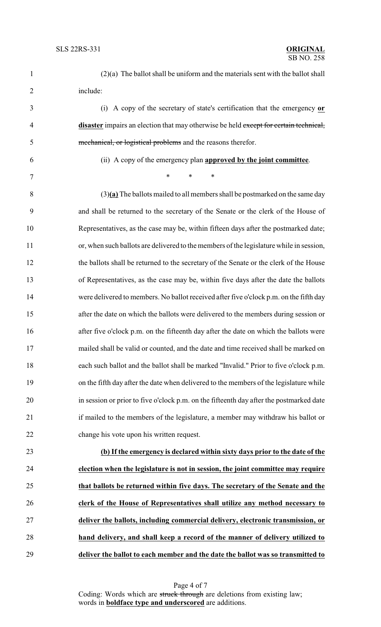| $\mathbf{1}$   | $(2)(a)$ The ballot shall be uniform and the materials sent with the ballot shall       |
|----------------|-----------------------------------------------------------------------------------------|
| $\overline{2}$ | include:                                                                                |
| 3              | (i) A copy of the secretary of state's certification that the emergency or              |
| 4              | disaster impairs an election that may otherwise be held except for certain technical,   |
| 5              | mechanical, or logistical problems and the reasons therefor.                            |
| 6              | (ii) A copy of the emergency plan <b>approved by the joint committee</b> .              |
| 7              | $\ast$<br>$\ast$<br>$\ast$                                                              |
| 8              | $(3)$ (a) The ballots mailed to all members shall be postmarked on the same day         |
| 9              | and shall be returned to the secretary of the Senate or the clerk of the House of       |
| 10             | Representatives, as the case may be, within fifteen days after the postmarked date;     |
| 11             | or, when such ballots are delivered to the members of the legislature while in session, |
| 12             | the ballots shall be returned to the secretary of the Senate or the clerk of the House  |
| 13             | of Representatives, as the case may be, within five days after the date the ballots     |
| 14             | were delivered to members. No ballot received after five o'clock p.m. on the fifth day  |
| 15             | after the date on which the ballots were delivered to the members during session or     |
| 16             | after five o'clock p.m. on the fifteenth day after the date on which the ballots were   |
| 17             | mailed shall be valid or counted, and the date and time received shall be marked on     |
| 18             | each such ballot and the ballot shall be marked "Invalid." Prior to five o'clock p.m.   |
| 19             | on the fifth day after the date when delivered to the members of the legislature while  |
| 20             | in session or prior to five o'clock p.m. on the fifteenth day after the postmarked date |
| 21             | if mailed to the members of the legislature, a member may withdraw his ballot or        |
| 22             | change his vote upon his written request.                                               |
| 23             | (b) If the emergency is declared within sixty days prior to the date of the             |
| 24             | election when the legislature is not in session, the joint committee may require        |
| 25             | that ballots be returned within five days. The secretary of the Senate and the          |
| 26             | clerk of the House of Representatives shall utilize any method necessary to             |
| 27             | deliver the ballots, including commercial delivery, electronic transmission, or         |

**deliver the ballot to each member and the date the ballot was so transmitted to**

**hand delivery, and shall keep a record of the manner of delivery utilized to**

Page 4 of 7 Coding: Words which are struck through are deletions from existing law; words in **boldface type and underscored** are additions.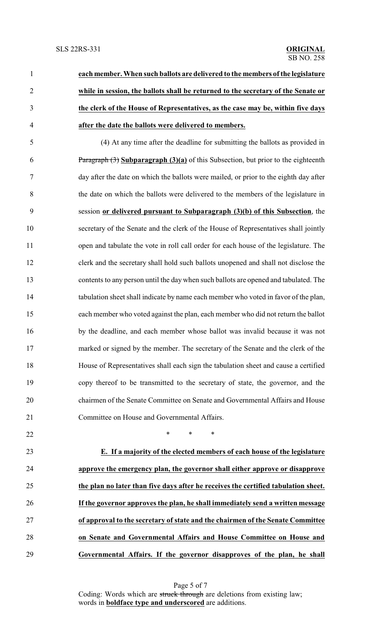**each member. When such ballots are delivered to the members of the legislature while in session, the ballots shall be returned to the secretary of the Senate or the clerk of the House of Representatives, as the case may be, within five days after the date the ballots were delivered to members.** (4) At any time after the deadline for submitting the ballots as provided in Paragraph (3) **Subparagraph (3)(a)** of this Subsection, but prior to the eighteenth day after the date on which the ballots were mailed, or prior to the eighth day after the date on which the ballots were delivered to the members of the legislature in session **or delivered pursuant to Subparagraph (3)(b) of this Subsection**, the secretary of the Senate and the clerk of the House of Representatives shall jointly 11 open and tabulate the vote in roll call order for each house of the legislature. The clerk and the secretary shall hold such ballots unopened and shall not disclose the contents to any person until the day when such ballots are opened and tabulated. The tabulation sheet shall indicate by name each member who voted in favor of the plan,

each member who voted against the plan, each member who did not return the ballot

by the deadline, and each member whose ballot was invalid because it was not

marked or signed by the member. The secretary of the Senate and the clerk of the

House of Representatives shall each sign the tabulation sheet and cause a certified

copy thereof to be transmitted to the secretary of state, the governor, and the

chairmen of the Senate Committee on Senate and Governmental Affairs and House

- Committee on House and Governmental Affairs.
- $\qquad \qquad \ast \qquad \ast \qquad \ast$
- 
- 
- **E. If a majority of the elected members of each house of the legislature approve the emergency plan, the governor shall either approve or disapprove the plan no later than five days after he receives the certified tabulation sheet. If the governor approves the plan, he shall immediately send a written message of approval to the secretary of state and the chairmen of the Senate Committee on Senate and Governmental Affairs and House Committee on House and Governmental Affairs. If the governor disapproves of the plan, he shall**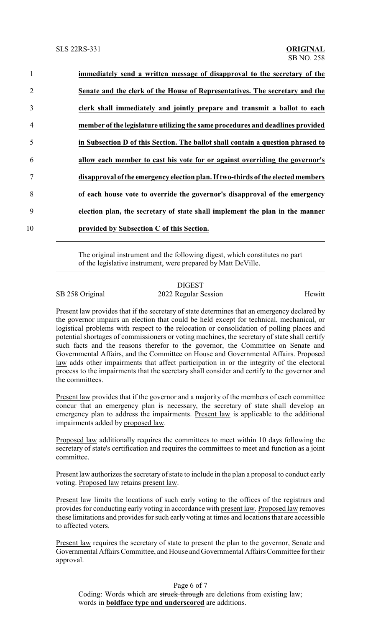| $\mathbf{1}$   | immediately send a written message of disapproval to the secretary of the        |
|----------------|----------------------------------------------------------------------------------|
| 2              | Senate and the clerk of the House of Representatives. The secretary and the      |
| 3              | clerk shall immediately and jointly prepare and transmit a ballot to each        |
| $\overline{4}$ | member of the legislature utilizing the same procedures and deadlines provided   |
| 5              | in Subsection D of this Section. The ballot shall contain a question phrased to  |
| 6              | allow each member to cast his vote for or against overriding the governor's      |
| 7              | disapproval of the emergency election plan. If two-thirds of the elected members |
| 8              | of each house vote to override the governor's disapproval of the emergency       |
| 9              | election plan, the secretary of state shall implement the plan in the manner     |
| 10             | provided by Subsection C of this Section.                                        |

The original instrument and the following digest, which constitutes no part of the legislative instrument, were prepared by Matt DeVille.

## DIGEST SB 258 Original 2022 Regular Session Hewitt

Present law provides that if the secretary of state determines that an emergency declared by the governor impairs an election that could be held except for technical, mechanical, or logistical problems with respect to the relocation or consolidation of polling places and potential shortages of commissioners or voting machines, the secretary of state shall certify such facts and the reasons therefor to the governor, the Committee on Senate and Governmental Affairs, and the Committee on House and Governmental Affairs. Proposed law adds other impairments that affect participation in or the integrity of the electoral process to the impairments that the secretary shall consider and certify to the governor and the committees.

Present law provides that if the governor and a majority of the members of each committee concur that an emergency plan is necessary, the secretary of state shall develop an emergency plan to address the impairments. Present law is applicable to the additional impairments added by proposed law.

Proposed law additionally requires the committees to meet within 10 days following the secretary of state's certification and requires the committees to meet and function as a joint committee.

Present law authorizes the secretary of state to include in the plan a proposal to conduct early voting. Proposed law retains present law.

Present law limits the locations of such early voting to the offices of the registrars and provides for conducting early voting in accordance with present law. Proposed law removes these limitations and provides for such early voting at times and locations that are accessible to affected voters.

Present law requires the secretary of state to present the plan to the governor, Senate and GovernmentalAffairs Committee, and House and Governmental Affairs Committee for their approval.

Page 6 of 7 Coding: Words which are struck through are deletions from existing law; words in **boldface type and underscored** are additions.